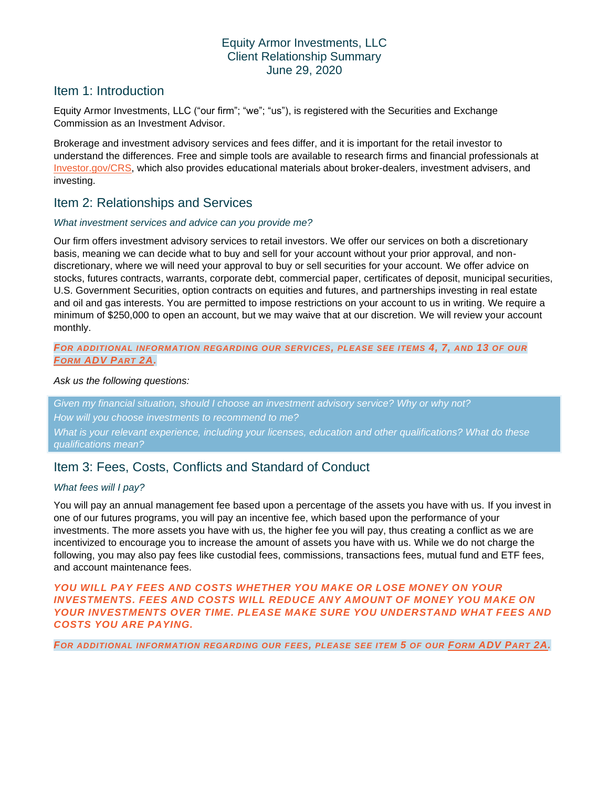## Equity Armor Investments, LLC Client Relationship Summary June 29, 2020

# Item 1: Introduction

Equity Armor Investments, LLC ("our firm"; "we"; "us"), is registered with the Securities and Exchange Commission as an Investment Advisor.

Brokerage and investment advisory services and fees differ, and it is important for the retail investor to understand the differences. Free and simple tools are available to research firms and financial professionals at [Investor.gov/CRS,](https://www.investor.gov/CRS) which also provides educational materials about broker-dealers, investment advisers, and investing.

### Item 2: Relationships and Services

#### *What investment services and advice can you provide me?*

Our firm offers investment advisory services to retail investors. We offer our services on both a discretionary basis, meaning we can decide what to buy and sell for your account without your prior approval, and nondiscretionary, where we will need your approval to buy or sell securities for your account. We offer advice on stocks, futures contracts, warrants, corporate debt, commercial paper, certificates of deposit, municipal securities, U.S. Government Securities, option contracts on equities and futures, and partnerships investing in real estate and oil and gas interests. You are permitted to impose restrictions on your account to us in writing. We require a minimum of \$250,000 to open an account, but we may waive that at our discretion. We will review your account monthly.

#### *FOR ADDITIONAL INFORMATION REGARDING OUR SERVICES, PLEASE SEE ITEMS 4, 7, AND 13 OF OUR FORM [ADV](https://files.adviserinfo.sec.gov/IAPD/Content/Common/crd_iapd_Brochure.aspx?BRCHR_VRSN_ID=614083) PART 2A.*

#### *Ask us the following questions:*

*Given my financial situation, should I choose an investment advisory service? Why or why not? How will you choose investments to recommend to me? What is your relevant experience, including your licenses, education and other qualifications? What do these qualifications mean?* 

# Item 3: Fees, Costs, Conflicts and Standard of Conduct

### *What fees will I pay?*

You will pay an annual management fee based upon a percentage of the assets you have with us. If you invest in one of our futures programs, you will pay an incentive fee, which based upon the performance of your investments. The more assets you have with us, the higher fee you will pay, thus creating a conflict as we are incentivized to encourage you to increase the amount of assets you have with us. While we do not charge the following, you may also pay fees like custodial fees, commissions, transactions fees, mutual fund and ETF fees, and account maintenance fees.

### *YOU WILL PAY FEES AND COSTS WHETHER YOU MAKE OR LOSE MONEY ON YOUR INVESTMENTS. FEES AND COSTS WILL REDUCE ANY AMOUNT OF MONEY YOU MAKE ON YOUR INVESTMENTS OVER TIME. PLEASE MAKE SURE YOU UNDERSTAND WHAT FEES AND COSTS YOU ARE PAYING.*

*FOR ADDITIONAL INFORMATION REGARDING OUR FEES, PLEASE SEE ITEM 5 OF OUR FORM [ADV](https://files.adviserinfo.sec.gov/IAPD/Content/Common/crd_iapd_Brochure.aspx?BRCHR_VRSN_ID=614083) PART 2A.*